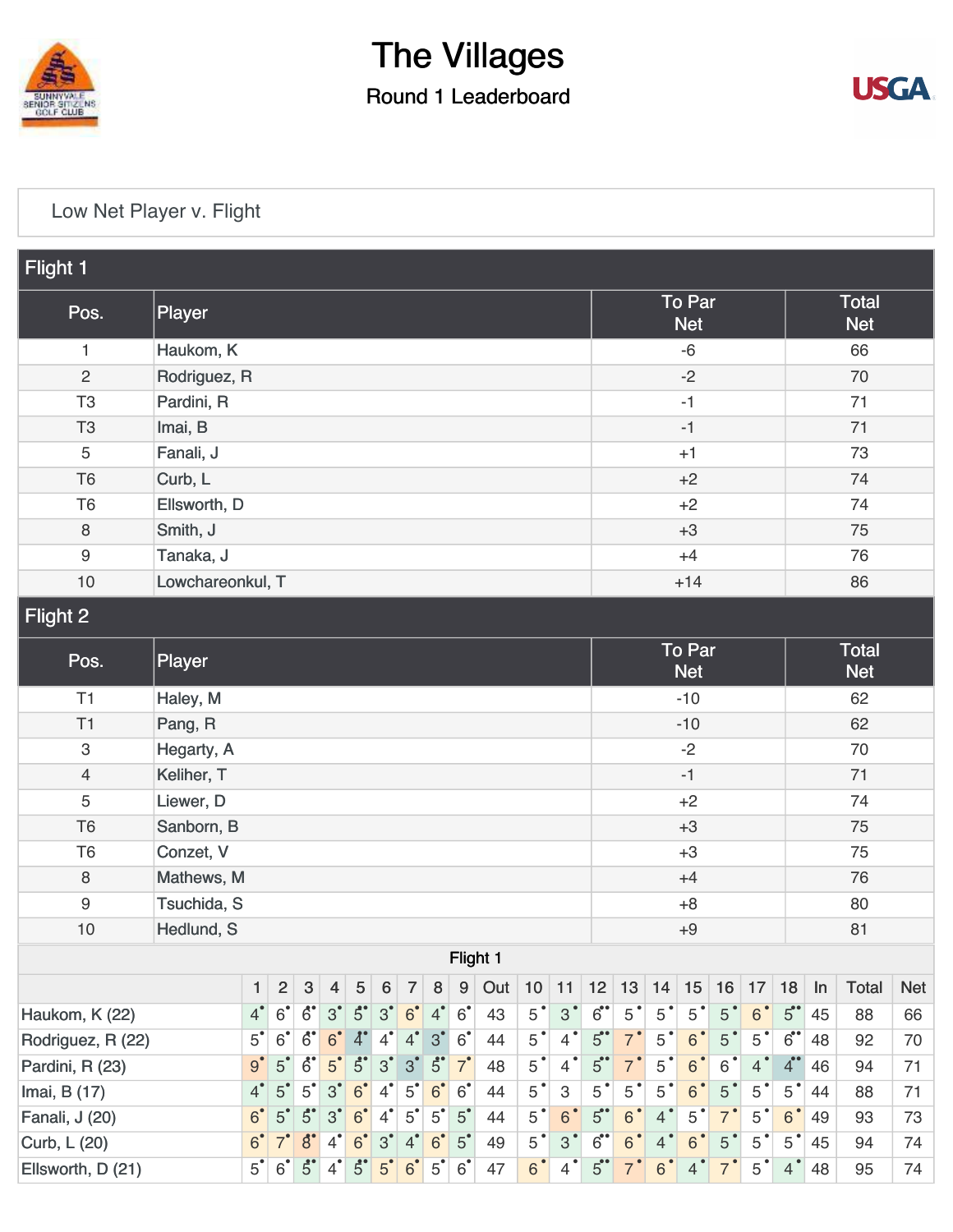

## The Villages Round 1 Leaderboard



## [Low Net Player v. Flight](https://cdn2.golfgenius.com/v2tournaments/5271628722225547679)

| Flight 1          |                                |                |                                  |                |                     |                  |                |                |                  |                |                |                |                           |                             |                |                |                |                |                |                      |                            |            |    |  |  |  |
|-------------------|--------------------------------|----------------|----------------------------------|----------------|---------------------|------------------|----------------|----------------|------------------|----------------|----------------|----------------|---------------------------|-----------------------------|----------------|----------------|----------------|----------------|----------------|----------------------|----------------------------|------------|----|--|--|--|
| Pos.              | Player                         |                |                                  |                |                     |                  |                |                |                  |                |                |                |                           | <b>To Par</b><br><b>Net</b> |                |                |                |                |                |                      | <b>Total</b><br><b>Net</b> |            |    |  |  |  |
| 1                 | Haukom, K                      |                |                                  |                |                     |                  |                |                |                  |                |                |                |                           |                             | $-6$           |                |                |                |                |                      | 66                         |            |    |  |  |  |
| $\overline{c}$    | Rodriguez, R                   |                |                                  |                |                     |                  |                |                |                  |                |                |                |                           | $-2$                        |                |                |                |                |                | 70                   |                            |            |    |  |  |  |
| T <sub>3</sub>    | Pardini, R                     |                |                                  |                |                     |                  |                |                |                  |                |                |                |                           |                             | $-1$           |                |                |                |                |                      |                            | 71         |    |  |  |  |
| T <sub>3</sub>    | Imai, B                        |                |                                  |                |                     |                  |                |                |                  |                |                |                |                           |                             | $-1$           |                |                |                |                |                      |                            | 71         |    |  |  |  |
| 5                 | Fanali, J                      |                |                                  |                |                     |                  |                |                |                  |                |                |                |                           | $+1$                        |                |                |                |                |                | 73                   |                            |            |    |  |  |  |
| T <sub>6</sub>    | Curb, L                        |                |                                  |                |                     |                  |                |                |                  |                |                |                |                           |                             | $+2$           |                |                |                |                |                      | 74                         |            |    |  |  |  |
| T <sub>6</sub>    | Ellsworth, D                   |                |                                  |                |                     |                  |                |                |                  |                |                |                |                           |                             | $+2$           |                |                |                |                |                      | 74                         |            |    |  |  |  |
| 8                 | Smith, J                       |                |                                  |                |                     |                  |                |                |                  |                |                |                |                           |                             | $+3$           |                |                |                |                |                      | 75                         |            |    |  |  |  |
| 9                 | Tanaka, J                      |                |                                  |                |                     |                  |                |                |                  |                |                |                |                           |                             | $+4$           |                |                |                |                |                      | 76                         |            |    |  |  |  |
| 10                | Lowchareonkul, T               |                |                                  |                |                     |                  |                |                |                  |                |                |                |                           | $+14$                       |                |                |                |                |                |                      | 86                         |            |    |  |  |  |
| Flight 2          |                                |                |                                  |                |                     |                  |                |                |                  |                |                |                |                           |                             |                |                |                |                |                |                      |                            |            |    |  |  |  |
| Pos.              | Player                         |                |                                  |                |                     |                  |                |                |                  |                |                |                |                           | To Par<br><b>Net</b>        |                |                |                |                |                |                      | Total<br><b>Net</b>        |            |    |  |  |  |
| T1                | Haley, M                       |                |                                  |                |                     |                  |                |                |                  |                |                |                |                           | $-10$                       |                |                |                |                |                | 62                   |                            |            |    |  |  |  |
| T1                | Pang, R                        |                |                                  |                |                     |                  |                |                |                  |                |                |                |                           |                             | $-10$          |                |                |                |                |                      | 62                         |            |    |  |  |  |
| 3                 | Hegarty, A                     |                |                                  |                |                     |                  |                |                |                  |                |                |                |                           |                             | $-2$           |                |                |                |                |                      |                            | 70         |    |  |  |  |
| $\overline{4}$    | Keliher, T                     |                |                                  |                |                     |                  |                |                |                  |                |                |                |                           |                             | $-1$           |                |                |                |                |                      |                            | 71         |    |  |  |  |
| 5                 | Liewer, D                      |                |                                  |                |                     |                  |                |                |                  |                |                |                |                           |                             | $+2$           |                |                |                |                |                      |                            | 74         |    |  |  |  |
| T <sub>6</sub>    | Sanborn, B                     |                |                                  |                |                     |                  |                |                |                  |                |                |                |                           |                             | $+3$           |                |                |                |                |                      | 75                         |            |    |  |  |  |
| T <sub>6</sub>    | Conzet, V                      |                |                                  |                |                     |                  |                |                |                  |                |                |                |                           |                             | $+3$           |                |                |                |                |                      | 75                         |            |    |  |  |  |
| 8                 | Mathews, M                     |                |                                  |                |                     |                  |                |                |                  |                |                |                |                           |                             | $+4$           |                |                |                |                |                      | 76                         |            |    |  |  |  |
| $\boldsymbol{9}$  |                                | Tsuchida, S    |                                  |                |                     |                  |                |                |                  |                |                |                |                           |                             | $+8$           |                |                |                |                |                      | 80                         |            |    |  |  |  |
| 10                | Hedlund, S                     |                |                                  |                |                     |                  |                |                |                  |                |                |                |                           |                             | $+9$           |                |                |                |                |                      |                            | 81         |    |  |  |  |
| Flight 1          |                                |                |                                  |                |                     |                  |                |                |                  |                |                |                |                           |                             |                |                |                |                |                |                      |                            |            |    |  |  |  |
|                   | $\mathbf{1}$                   | $\overline{2}$ | 3                                | $\overline{4}$ | $\sqrt{5}$          | $\boldsymbol{6}$ | $\overline{7}$ | 8              | $\boldsymbol{9}$ | Out            | 10             | 11             | 12                        | 13                          | 14             | 15             | 16             | 17             | 18             | $\ln$                | <b>Total</b>               | <b>Net</b> |    |  |  |  |
| Haukom, K (22)    | $4^{\bullet}$                  | $6^{\circ}$    | $\ddot{6}$                       | 3 <sup>°</sup> | $5^{\circ}$         | 3 <sup>°</sup>   | 6 <sup>°</sup> | $4^{\degree}$  | $6^{\degree}$    | 43             | $5^{\degree}$  | 3 <sup>°</sup> | 6                         | $5^{\degree}$               | $5^{\degree}$  | $5^{\degree}$  | 5 <sup>°</sup> | 6 <sup>°</sup> | 5              | 45                   | 88                         | 66         |    |  |  |  |
| Rodriguez, R (22) | $5^{\degree}$<br>$9^{\bullet}$ | 6 <sup>°</sup> | $6^{\circ}$                      | 6 <sup>°</sup> | $\lambda^{\bullet}$ | $4^{\bullet}$    | $4^{\bullet}$  | 3 <sup>°</sup> | $6^{\degree}$    | 44             | $5^{\degree}$  | $4^{\degree}$  | 5                         | $7^{\degree}$               | $5^{\degree}$  | 6 <sup>°</sup> | 5              | 5 <sup>°</sup> | $6$ .          | 48                   | 92                         | 70         |    |  |  |  |
| Pardini, R (23)   |                                |                | 5 <sup>°</sup>                   | $\ddot{6}$     | 5 <sup>°</sup>      | $\ddot{5}$       | 3 <sup>°</sup> | 3 <sup>°</sup> | $5^\circ$        | $7^{\circ}$    | 48             | $5^{\degree}$  | $4^{\bullet}$             | $5$ <sup>**</sup>           | 7 <sup>°</sup> | $5^{\degree}$  | 6 <sup>°</sup> | $6\,$          | $4^{\degree}$  | $4^{\bullet\bullet}$ | 46                         | 94         | 71 |  |  |  |
| Imai, B (17)      |                                |                | $\overline{4}$<br>5 <sup>°</sup> | $5^{\degree}$  | 3 <sup>°</sup>      | 6 <sup>°</sup>   | $4^{\bullet}$  | $5^{\circ}$    | 6 <sup>°</sup>   | 6 <sup>°</sup> | 44             | $5^{\degree}$  | $\ensuremath{\mathsf{3}}$ | $5^{\degree}$               | $5^{\degree}$  | $5^{\degree}$  | 6 <sup>°</sup> | 5 <sup>°</sup> | 5 <sup>°</sup> | 5 <sup>°</sup>       | 44                         | 88         | 71 |  |  |  |
| Fanali, J (20)    | 6 <sup>°</sup>                 | 5 <sup>°</sup> | $5^\circ$                        | 3 <sup>°</sup> | 6 <sup>°</sup>      | $4^{\bullet}$    | $5^{\degree}$  | 5 <sup>°</sup> | 5 <sup>°</sup>   | 44             | $5^{\degree}$  | 6 <sup>°</sup> | 5                         | 6 <sup>°</sup>              | $4^{\degree}$  | $5^{\degree}$  | $\overline{7}$ | $5^{\degree}$  | 6 <sup>°</sup> | 49                   | 93                         | 73         |    |  |  |  |
| Curb, L (20)      | 6 <sup>°</sup>                 | $7^{\degree}$  | $\boldsymbol{\delta}'$           | $4^{\degree}$  | 6 <sup>°</sup>      | 3 <sup>°</sup>   | $4^{\bullet}$  | 6 <sup>°</sup> | 5 <sup>°</sup>   | 49             | 5 <sup>°</sup> | $3^{\circ}$    | 6                         | 6 <sup>°</sup>              | $\overline{4}$ | 6 <sup>°</sup> | 5 <sup>°</sup> | 5 <sup>°</sup> | 5 <sup>°</sup> | 45                   | 94                         | 74         |    |  |  |  |
| Ellsworth, D (21) | $5^{\bullet}$                  | $6^{\degree}$  | $5^{\circ}$                      | $4^{\bullet}$  | $\ddot{5}$          | 5 <sup>°</sup>   | 6 <sup>°</sup> | $5^{\degree}$  | $6^{\degree}$    | 47             | 6 <sup>°</sup> | $4^{\bullet}$  | 5                         | $7^{\degree}$               | $6^{\circ}$    | $\overline{4}$ | 7 <sup>°</sup> | 5 <sup>°</sup> | $4^{\degree}$  | 48                   | 95                         | 74         |    |  |  |  |